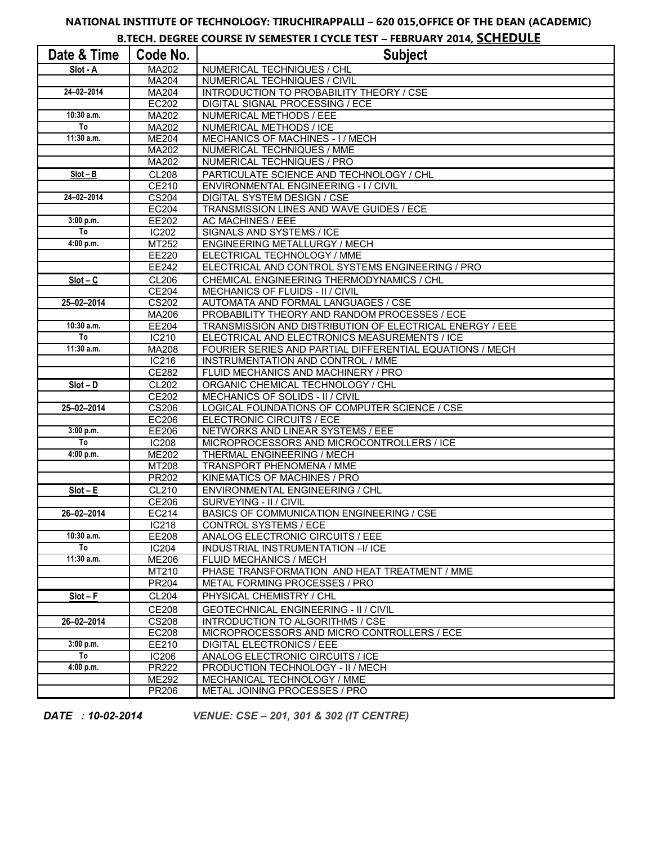## **NATIONAL INSTITUTE OF TECHNOLOGY: TIRUCHIRAPPALLI – 620 015,OFFICE OF THE DEAN (ACADEMIC)**

**B.TECH. DEGREE COURSE IV SEMESTER I CYCLE TEST – FEBRUARY 2014, SCHEDULE**

| Date & Time     | Code No.     | <b>Subject</b>                                           |
|-----------------|--------------|----------------------------------------------------------|
| Slot - A        | MA202        | NUMERICAL TECHNIQUES / CHL                               |
|                 | MA204        | NUMERICAL TECHNIQUES / CIVIL                             |
| 24-02-2014      | MA204        | INTRODUCTION TO PROBABILITY THEORY / CSE                 |
|                 | <b>EC202</b> | DIGITAL SIGNAL PROCESSING / ECE                          |
| 10:30 a.m.      | MA202        | NUMERICAL METHODS / EEE                                  |
| To              | MA202        | NUMERICAL METHODS / ICE                                  |
| 11:30 a.m.      | <b>ME204</b> | MECHANICS OF MACHINES - I / MECH                         |
|                 | MA202        | NUMERICAL TECHNIQUES / MME                               |
|                 | <b>MA202</b> | NUMERICAL TECHNIQUES / PRO                               |
| $Slot - B$      | <b>CL208</b> | PARTICULATE SCIENCE AND TECHNOLOGY / CHL                 |
|                 | CE210        | ENVIRONMENTAL ENGINEERING - I / CIVIL                    |
| 24-02-2014      | <b>CS204</b> | DIGITAL SYSTEM DESIGN / CSE                              |
|                 | <b>EC204</b> | TRANSMISSION LINES AND WAVE GUIDES / ECE                 |
| 3:00 p.m.       | EE202        | AC MACHINES / EEE                                        |
| $\overline{I}$  | <b>IC202</b> | SIGNALS AND SYSTEMS / ICE                                |
| 4:00 p.m.       | MT252        | ENGINEERING METALLURGY / MECH                            |
|                 | EE220        | ELECTRICAL TECHNOLOGY / MME                              |
|                 | EE242        | ELECTRICAL AND CONTROL SYSTEMS ENGINEERING / PRO         |
| $Slot - C$      | CL206        | CHEMICAL ENGINEERING THERMODYNAMICS / CHL                |
|                 | <b>CE204</b> | MECHANICS OF FLUIDS - II / CIVIL                         |
| 25-02-2014      | <b>CS202</b> | AUTOMATA AND FORMAL LANGUAGES / CSE                      |
|                 | MA206        | PROBABILITY THEORY AND RANDOM PROCESSES / ECE            |
| 10:30 a.m.      | EE204        | TRANSMISSION AND DISTRIBUTION OF ELECTRICAL ENERGY / EEE |
| $\overline{10}$ | IC210        | ELECTRICAL AND ELECTRONICS MEASUREMENTS / ICE            |
| 11:30 a.m.      | MA208        | FOURIER SERIES AND PARTIAL DIFFERENTIAL EQUATIONS / MECH |
|                 | IC216        | INSTRUMENTATION AND CONTROL / MME                        |
|                 | CE282        | FLUID MECHANICS AND MACHINERY / PRO                      |
| $Slot - D$      | CL202        | ORGANIC CHEMICAL TECHNOLOGY / CHL                        |
|                 | CE202        | MECHANICS OF SOLIDS - II / CIVIL                         |
| 25-02-2014      | <b>CS206</b> | LOGICAL FOUNDATIONS OF COMPUTER SCIENCE / CSE            |
|                 | EC206        | ELECTRONIC CIRCUITS / ECE                                |
| 3:00 p.m.       | EE206        | NETWORKS AND LINEAR SYSTEMS / EEE                        |
| T <sub>o</sub>  | <b>IC208</b> | MICROPROCESSORS AND MICROCONTROLLERS / ICE               |
| 4:00 p.m.       | <b>ME202</b> | THERMAL ENGINEERING / MECH                               |
|                 | MT208        | TRANSPORT PHENOMENA / MME                                |
|                 | PR202        | KINEMATICS OF MACHINES / PRO                             |
| $Slot - E$      | CL210        | ENVIRONMENTAL ENGINEERING / CHL                          |
|                 | <b>CE206</b> | SURVEYING - II / CIVIL                                   |
| 26-02-2014      | EC214        | BASICS OF COMMUNICATION ENGINEERING / CSE                |
|                 | <b>IC218</b> | <b>CONTROL SYSTEMS / ECE</b>                             |
| 10:30 a.m.      | EE208        | ANALOG ELECTRONIC CIRCUITS / EEE                         |
| To              | <b>IC204</b> | INDUSTRIAL INSTRUMENTATION -I/ ICE                       |
| 11:30 a.m.      | <b>ME206</b> | FLUID MECHANICS / MECH                                   |
|                 | MT210        | PHASE TRANSFORMATION AND HEAT TREATMENT / MME            |
|                 | <b>PR204</b> | METAL FORMING PROCESSES / PRO                            |
| $Slot - F$      | CL204        | PHYSICAL CHEMISTRY / CHL                                 |
|                 | <b>CE208</b> | <b>GEOTECHNICAL ENGINEERING - II / CIVIL</b>             |
| 26-02-2014      | <b>CS208</b> | INTRODUCTION TO ALGORITHMS / CSE                         |
|                 | EC208        | MICROPROCESSORS AND MICRO CONTROLLERS / ECE              |
| 3:00 p.m.       | EE210        | <b>DIGITAL ELECTRONICS / EEE</b>                         |
| To              | <b>IC206</b> | ANALOG ELECTRONIC CIRCUITS / ICE                         |
| 4:00 p.m.       | PR222        | PRODUCTION TECHNOLOGY - II / MECH                        |
|                 | <b>ME292</b> | MECHANICAL TECHNOLOGY / MME                              |
|                 | PR206        | METAL JOINING PROCESSES / PRO                            |

*DATE : 10-02-2014 VENUE: CSE – 201, 301 & 302 (IT CENTRE)*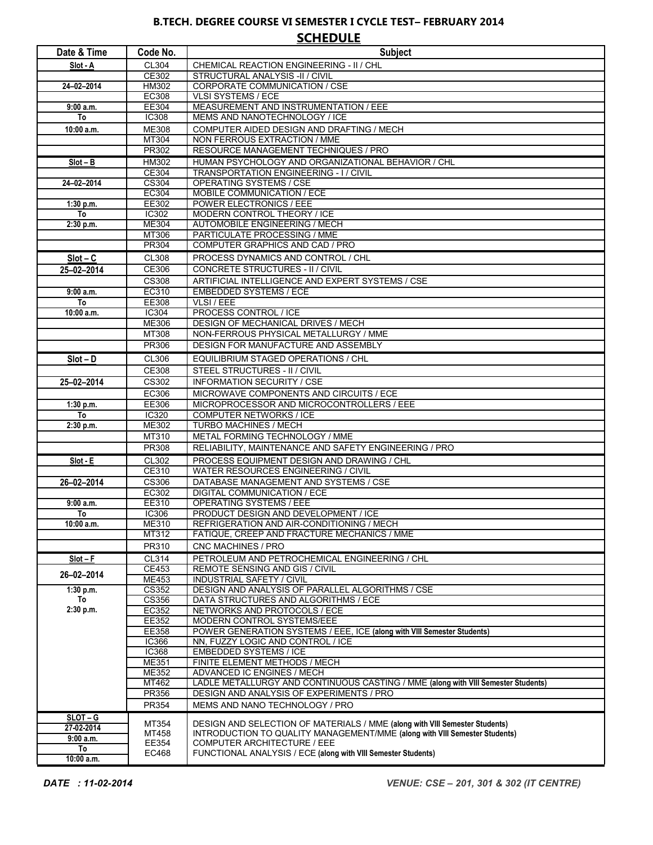## **B.TECH. DEGREE COURSE VI SEMESTER I CYCLE TEST– FEBRUARY 2014 SCHEDULE**

| Date & Time     | Code No.              | <b>Subject</b>                                                                                                  |
|-----------------|-----------------------|-----------------------------------------------------------------------------------------------------------------|
| Slot - A        | CL304                 | CHEMICAL REACTION ENGINEERING - II / CHL                                                                        |
|                 | CE302                 | STRUCTURAL ANALYSIS -II / CIVIL                                                                                 |
| 24-02-2014      | HM302                 | CORPORATE COMMUNICATION / CSE                                                                                   |
|                 | EC308                 | <b>VLSI SYSTEMS / ECE</b>                                                                                       |
| 9:00a.m.        | EE304                 | MEASUREMENT AND INSTRUMENTATION / EEE                                                                           |
| To              | <b>IC308</b>          | MEMS AND NANOTECHNOLOGY / ICE                                                                                   |
| 10:00 a.m.      | <b>ME308</b><br>MT304 | COMPUTER AIDED DESIGN AND DRAFTING / MECH<br>NON FERROUS EXTRACTION / MME                                       |
|                 | <b>PR302</b>          | RESOURCE MANAGEMENT TECHNIQUES / PRO                                                                            |
| $Slot - B$      | <b>HM302</b>          | HUMAN PSYCHOLOGY AND ORGANIZATIONAL BEHAVIOR / CHL                                                              |
|                 | CE304                 | <b>TRANSPORTATION ENGINEERING - I / CIVIL</b>                                                                   |
| 24-02-2014      | CS304                 | OPERATING SYSTEMS / CSE                                                                                         |
|                 | <b>EC304</b>          | MOBILE COMMUNICATION / ECE                                                                                      |
| 1:30 p.m.       | EE302                 | POWER ELECTRONICS / EEE                                                                                         |
| To              | IC302                 | MODERN CONTROL THEORY / ICE                                                                                     |
| 2:30 p.m.       | ME304                 | AUTOMOBILE ENGINEERING / MECH                                                                                   |
|                 | MT306<br><b>PR304</b> | PARTICULATE PROCESSING / MME<br>COMPUTER GRAPHICS AND CAD / PRO                                                 |
|                 |                       |                                                                                                                 |
| $Slot - C$      | <b>CL308</b>          | PROCESS DYNAMICS AND CONTROL / CHL                                                                              |
| 25-02-2014      | CE306                 | CONCRETE STRUCTURES - II / CIVIL                                                                                |
|                 | <b>CS308</b><br>EC310 | ARTIFICIAL INTELLIGENCE AND EXPERT SYSTEMS / CSE<br><b>EMBEDDED SYSTEMS / ECE</b>                               |
| 9:00 a.m.<br>To | EE308                 | VLSI / EEE                                                                                                      |
| 10:00 a.m.      | IC304                 | PROCESS CONTROL / ICE                                                                                           |
|                 | ME306                 | <b>DESIGN OF MECHANICAL DRIVES / MECH</b>                                                                       |
|                 | MT308                 | NON-FERROUS PHYSICAL METALLURGY / MME                                                                           |
|                 | PR306                 | DESIGN FOR MANUFACTURE AND ASSEMBLY                                                                             |
| $Slot - D$      | CL306                 | EQUILIBRIUM STAGED OPERATIONS / CHL                                                                             |
|                 | CE308                 | STEEL STRUCTURES - II / CIVIL                                                                                   |
| 25-02-2014      | CS302                 | <b>INFORMATION SECURITY / CSE</b>                                                                               |
|                 | EC306                 | MICROWAVE COMPONENTS AND CIRCUITS / ECE                                                                         |
| 1:30 p.m.       | EE306                 | MICROPROCESSOR AND MICROCONTROLLERS / EEE                                                                       |
| To              | IC320                 | <b>COMPUTER NETWORKS / ICE</b>                                                                                  |
| 2:30 p.m.       | ME302                 | TURBO MACHINES / MECH                                                                                           |
|                 | MT310                 | METAL FORMING TECHNOLOGY / MME                                                                                  |
|                 | PR308                 | RELIABILITY, MAINTENANCE AND SAFETY ENGINEERING / PRO                                                           |
| Slot E          | CL302                 | PROCESS EQUIPMENT DESIGN AND DRAWING / CHL                                                                      |
|                 | CE310<br>CS306        | <b>WATER RESOURCES ENGINEERING / CIVIL</b><br>DATABASE MANAGEMENT AND SYSTEMS / CSE                             |
| 26-02-2014      | EC302                 | DIGITAL COMMUNICATION / ECE                                                                                     |
| $9:00$ a.m.     | EE310                 | OPERATING SYSTEMS / EEE                                                                                         |
| To              | <b>IC306</b>          | PRODUCT DESIGN AND DEVELOPMENT / ICE                                                                            |
| 10:00 a.m.      | <b>ME310</b>          | REFRIGERATION AND AIR-CONDITIONING / MECH                                                                       |
|                 | MT312                 | FATIQUE, CREEP AND FRACTURE MECHANICS / MME                                                                     |
|                 | PR310                 | CNC MACHINES / PRO                                                                                              |
| $Slot - F$      | CL314                 | PETROLEUM AND PETROCHEMICAL ENGINEERING / CHL                                                                   |
| 26-02-2014      | CE453                 | REMOTE SENSING AND GIS / CIVIL                                                                                  |
|                 | ME453                 | <b>INDUSTRIAL SAFETY / CIVIL</b>                                                                                |
| 1:30 p.m.<br>To | CS352<br>CS356        | DESIGN AND ANALYSIS OF PARALLEL ALGORITHMS / CSE<br>DATA STRUCTURES AND ALGORITHMS / ECE                        |
| 2:30 p.m.       | EC352                 | NETWORKS AND PROTOCOLS / ECE                                                                                    |
|                 | EE352                 | MODERN CONTROL SYSTEMS/EEE                                                                                      |
|                 | EE358                 | POWER GENERATION SYSTEMS / EEE, ICE (along with VIII Semester Students)                                         |
|                 | IC366                 | NN, FUZZY LOGIC AND CONTROL / ICE                                                                               |
|                 | <b>IC368</b>          | <b>EMBEDDED SYSTEMS / ICE</b>                                                                                   |
|                 | ME351                 | FINITE ELEMENT METHODS / MECH                                                                                   |
|                 | ME352<br>MT462        | ADVANCED IC ENGINES / MECH<br>LADLE METALLURGY AND CONTINUOUS CASTING / MME (along with VIII Semester Students) |
|                 | <b>PR356</b>          | DESIGN AND ANALYSIS OF EXPERIMENTS / PRO                                                                        |
|                 | PR354                 | MEMS AND NANO TECHNOLOGY / PRO                                                                                  |
| $SLOT - G$      |                       |                                                                                                                 |
| 27-02-2014      | MT354                 | <b>DESIGN AND SELECTION OF MATERIALS / MME (along with VIII Semester Students)</b>                              |
| 9:00a.m.        | MT458<br>EE354        | INTRODUCTION TO QUALITY MANAGEMENT/MME (along with VIII Semester Students)<br>COMPUTER ARCHITECTURE / EEE       |
| To              | EC468                 | FUNCTIONAL ANALYSIS / ECE (along with VIII Semester Students)                                                   |
| 10:00 a.m.      |                       |                                                                                                                 |